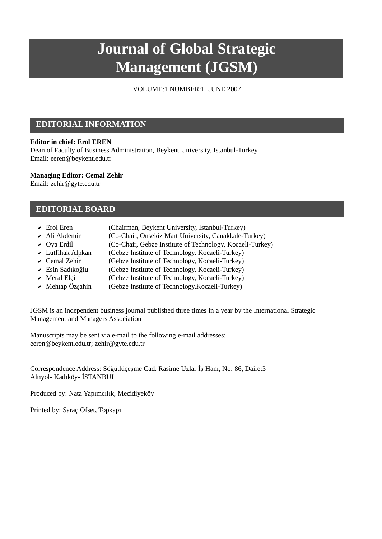# **Journal of Global Strategic Management (JGSM)**

VOLUME:1 NUMBER:1 JUNE 2007

### **EDITORIAL INFORMATION**

#### **Editor in chief: Erol EREN**

Dean of Faculty of Business Administration, Beykent University, Istanbul-Turkey Email: [eeren@beykent.edu.tr](mailto:eeren:@beykent.edu.tr)

#### **Managing Editor: Cemal Zehir**

Email: [zehir@gyte.edu.tr](mailto:zehir:@gyte.edu.tr)

#### **EDITORIAL BOARD**

- $\triangleright$  Erol Eren (Chairman, Beykent University, Istanbul-Turkey)
- ◆ Ali Akdemir (Co-Chair, Onsekiz Mart University, Canakkale-Turkey)
- $\vee$  Oya Erdil (Co-Chair, Gebze Institute of Technology, Kocaeli-Turkey)
- ◆ Lutfihak Alpkan (Gebze Institute of Technology, Kocaeli-Turkey)
- ◆ Cemal Zehir (Gebze Institute of Technology, Kocaeli-Turkey)
- ► Esin Sadıkoğlu (Gebze Institute of Technology, Kocaeli-Turkey)
- ◆ Meral Elçi (Gebze Institute of Technology, Kocaeli-Turkey)
- $\vee$  Mehtap Özşahin (Gebze Institute of Technology, Kocaeli-Turkey)

JGSM is an independent business journal published three times in a year by the International Strategic Management and Managers Association

Manuscripts may be sent via e-mail to the following e-mail addresses: [eeren@beykent.edu.tr;](mailto:eeren:@beykent.edu.tr) [zehir@gyte.edu.tr](mailto:zehir:@gyte.edu.tr)

Correspondence Address: Söğütlüçeşme Cad. Rasime Uzlar İş Hanı, No: 86, Daire:3 Altıyol- Kadıköy- İSTANBUL

Produced by: Nata Yapımcılık, Mecidiyeköy

Printed by: Saraç Ofset, Topkapı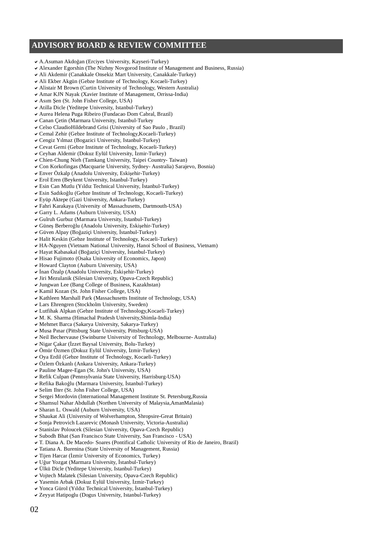## **ADVISORY BOARD & REVIEW COMMITTEE**

- ◆ A.Asuman Akdoğan (Ercives University, Kayseri-Turkey)
- $\triangledown$  Alexander Egorshin (The Nizhny Novgorod Institute of Management and Business, Russia)
- $\blacktriangleright$  Ali Akdemir (Canakkale Onsekiz Mart University, Canakkale-Turkey)
- $\vee$  Ali Ekber Akgün (Gebze Institute of Technology, Kocaeli-Turkey)
- ▼ Alistair M Brown (Curtin University of Technology, Western Australia)
- DAmar KJN Nayak (Xavier Institute of Management, Orrissa-India)
- $\blacktriangleright$  Asım Şen (St. John Fisher College, USA)
- $\blacktriangleright$  Atilla Dicle (Yeditepe University, Istanbul-Turkey)
- ◆ Aurea Helena Puga Ribeiro (Fundacao Dom Cabral, Brazil)
- $\checkmark$  Canan Cetin (Marmara University, Istanbul-Turkey
- DCelso ClaudioHildebrand Grisi (University of Sao Paulo , Brazil)
- DCemal Zehir (Gebze Institute of Technology,Kocaeli-Turkey)
- $\vee$  Cengiz Yılmaz (Bogazici University, Istanbul-Turkey)
- DCevat Gerni (Gebze Institute of Technology, Kocaeli-Turkey)
- $\vee$  Ceyhan Aldemir (Dokuz Eylül University, İzmir-Turkey)
- $\vee$  Chien-Chung Nieh (Tamkang University, Taipei Country- Taiwan)
- DCon Korkofingas (Macquarie University, Sydney- Australia) Sarajevo, Bosnia)
- $\vee$  Enver Özkalp (Anadolu University, Eskişehir-Turkey)
- $\vee$  Erol Eren (Beykent University, Istanbul-Turkey)
- $\vee$  Esin Can Mutlu (Yıldız Technical University, İstanbul-Turkey)
- ► Esin Sadıkoğlu (Gebze Institute of Technology, Kocaeli-Turkey)
- DEyüp Aktepe (Gazi University, Ankara-Turkey)
- DFahri Karakaya (University of Massachusetts, Dartmouth-USA)
- DGarry L. Adams (Auburn University, USA)
- DGulruh Gurbuz (Marmara University, Istanbul-Turkey)
- ◆ Güneş Berberoğlu (Anadolu University, Eskişehir-Turkey)
- ◆ Güven Alpay (Boğaziçi University, İstanbul-Turkey)
- $\blacktriangleright$  Halit Keskin (Gebze Institute of Technology, Kocaeli-Turkey)
- DHA-Nguyen (Vietnam National University, Hanoi School of Business, Vietnam)
- ► Hayat Kabasakal (Boğaziçi University, İstanbul-Turkey)
- ▼ Hisao Fujimoto (Osaka University of Economics, Japon)
- $\blacktriangleright$  Howard Clayton (Auburn University, USA)
- $\vee$  İnan Özalp (Anadolu University, Eskişehir-Turkey)
- $\vee$  Jiri Mezulanik (Silesian University, Opava-Czech Republic)
- $\vee$  Jungwan Lee (Bang College of Business, Kazakhstan)
- $\checkmark$  Kamil Kozan (St. John Fisher College, USA)
- $\triangledown$  Kathleen Marshall Park (Massachusetts Institute of Technology, USA)
- $\vee$  Lars Ehrengren (Stockholm University, Sweden)
- $\vee$  Lutfihak Alpkan (Gebze Institute of Technology, Kocaeli-Turkey)
- $\vee$  M. K. Sharma (Himachal Pradesh University,Shimla-India)
- $\blacktriangledown$  Mehmet Barca (Sakarya University, Sakarya-Turkey)
- $\vee$  Musa Pinar (Pittsburg State University, Pittsburg-USA)
- ► Neil Bechervause (Swinburne University of Technology, Melbourne- Australia)
- v Nigar Çakar (İzzet Baysal University, Bolu-Turkey)
- $\vee$  Ömür Özmen (Dokuz Eylül University, İzmir-Turkey)
- DOya Erdil (Gebze Institute of Technology, Kocaeli-Turkey)
- ◆ Özlem Özkanlı (Ankara University, Ankara-Turkey)
- $\triangledown$  Pauline Magee-Egan (St. John's University, USA)
- ▼ Refik Culpan (Pennsylvania State University, Harrisburg-USA)
- ► Refika Bakoğlu (Marmara University, İstanbul-Turkey)
- $\vee$  Selim Ilter (St. John Fisher College, USA)
- ◆ Sergei Mordovin (International Management Institute St. Petersburg,Russia
- DShamsul Nahar Abdullah (Northen University of Malaysia,AmanMalasia)
- $\checkmark$  Sharan L. Oswald (Auburn University, USA)
- $\triangleright$  Shaukat Ali (University of Wolverhampton, Shropsire-Great Britain)
- $\checkmark$  Sonja Petrovich Lazarevic (Monash University, Victoria-Australia)
- $\triangleright$  Stanislav Poloucek (Silesian University, Opava-Czech Republic)
- $\triangleright$  Subodh Bhat (San Francisco State University, San Francisco USA)
- DT. Diana A. De Macedo- Soares (Pontifical Catholic University of Rio de Janeiro, Brazil)
- $\triangledown$  Tatiana A. Burenina (State University of Management, Russia)
- $\vee$  Tijen Harcar (İzmir University of Economics, Turkey)
- ◆ Uğur Yozgat (Marmara University, İstanbul-Turkey)
- DÜlkü Dicle (Yeditepe University, Istanbul-Turkey)
- $\vee$  Vojtech Malatek (Silesian University, Opava-Czech Republic)
- $\checkmark$  Yasemin Arbak (Dokuz Eylül University, İzmir-Turkey)
- V Yonca Gürol (Yıldız Technical University, İstanbul-Turkey)
- $\vee$  Zeyyat Hatipoglu (Dogus University, Istanbul-Turkey)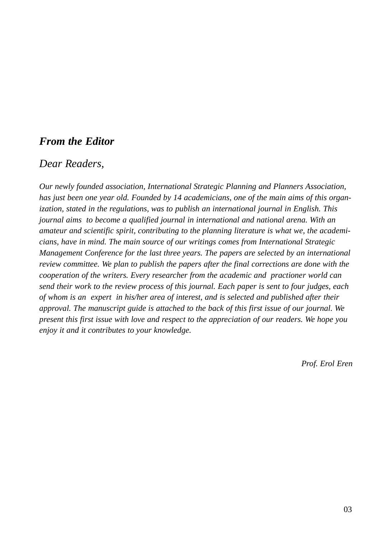# *From the Editor*

## *Dear Readers,*

*Our newly founded association, International Strategic Planning and Planners Association, has just been one year old. Founded by 14 academicians, one of the main aims of this organization, stated in the regulations, was to publish an international journal in English. This journal aims to become a qualified journal in international and national arena. With an amateur and scientific spirit, contributing to the planning literature is what we, the academicians, have in mind. The main source of our writings comes from International Strategic Management Conference for the last three years. The papers are selected by an international review committee. We plan to publish the papers after the final corrections are done with the cooperation of the writers. Every researcher from the academic and practioner world can send their work to the review process of this journal. Each paper is sent to four judges, each of whom is an expert in his/her area of interest, and is selected and published after their approval. The manuscript guide is attached to the back of this first issue of our journal. We present this first issue with love and respect to the appreciation of our readers. We hope you enjoy it and it contributes to your knowledge.*

*Prof. Erol Eren*